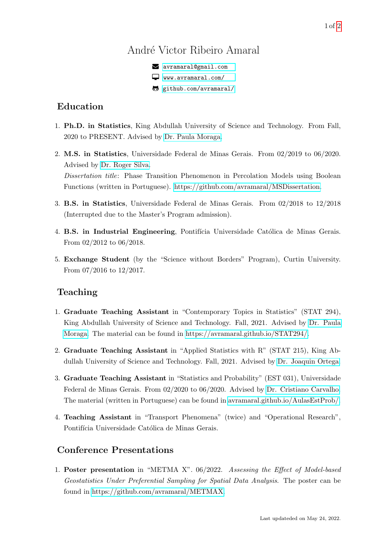# André Victor Ribeiro Amaral

R [avramaral@gmail.com](mailto:avramaral@gmail.com) B [www.avramaral.com/](https://www.avramaral.com/) [github.com/avramaral/](https://github.com/avramaral/)

#### Education

- 1. Ph.D. in Statistics, King Abdullah University of Science and Technology. From Fall, 2020 to PRESENT. Advised by [Dr. Paula Moraga.](https://www.paulamoraga.com/)
- 2. M.S. in Statistics, Universidade Federal de Minas Gerais. From 02/2019 to 06/2020. Advised by [Dr. Roger Silva.](http://www.est.ufmg.br/~rogerwcs/) Dissertation title: Phase Transition Phenomenon in Percolation Models using Boolean Functions (written in Portuguese). [https://github.com/avramaral/MSDissertation.](https://github.com/avramaral/MSDissertation)
- 3. B.S. in Statistics, Universidade Federal de Minas Gerais. From 02/2018 to 12/2018 (Interrupted due to the Master's Program admission).
- 4. B.S. in Industrial Engineering, Pontifícia Universidade Católica de Minas Gerais. From 02/2012 to 06/2018.
- 5. Exchange Student (by the "Science without Borders" Program), Curtin University. From 07/2016 to 12/2017.

## Teaching

- 1. Graduate Teaching Assistant in "Contemporary Topics in Statistics" (STAT 294), King Abdullah University of Science and Technology. Fall, 2021. Advised by [Dr. Paula](https://cemse.kaust.edu.sa/people/person/joaquin-ortega-sanchez) [Moraga.](https://cemse.kaust.edu.sa/people/person/joaquin-ortega-sanchez) The material can be found in [https://avramaral.github.io/STAT294/.](https://avramaral.github.io/STAT294/)
- 2. Graduate Teaching Assistant in "Applied Statistics with R" (STAT 215), King Abdullah University of Science and Technology. Fall, 2021. Advised by [Dr. Joaquin Ortega.](http://www.est.ufmg.br/~cristianocs/)
- 3. Graduate Teaching Assistant in "Statistics and Probability" (EST 031), Universidade Federal de Minas Gerais. From 02/2020 to 06/2020. Advised by [Dr. Cristiano Carvalho.](http://www.est.ufmg.br/~cristianocs/) The material (written in Portuguese) can be found in [avramaral.github.io/AulasEstProb/.](https://avramaral.github.io/AulasEstProb/)
- 4. Teaching Assistant in "Transport Phenomena" (twice) and "Operational Research", Pontifícia Universidade Católica de Minas Gerais.

## Conference Presentations

1. Poster presentation in "METMA X". 06/2022. Assessing the Effect of Model-based Geostatistics Under Preferential Sampling for Spatial Data Analysis. The poster can be found in [https://github.com/avramaral/METMAX.](https://github.com/avramaral/METMAX)